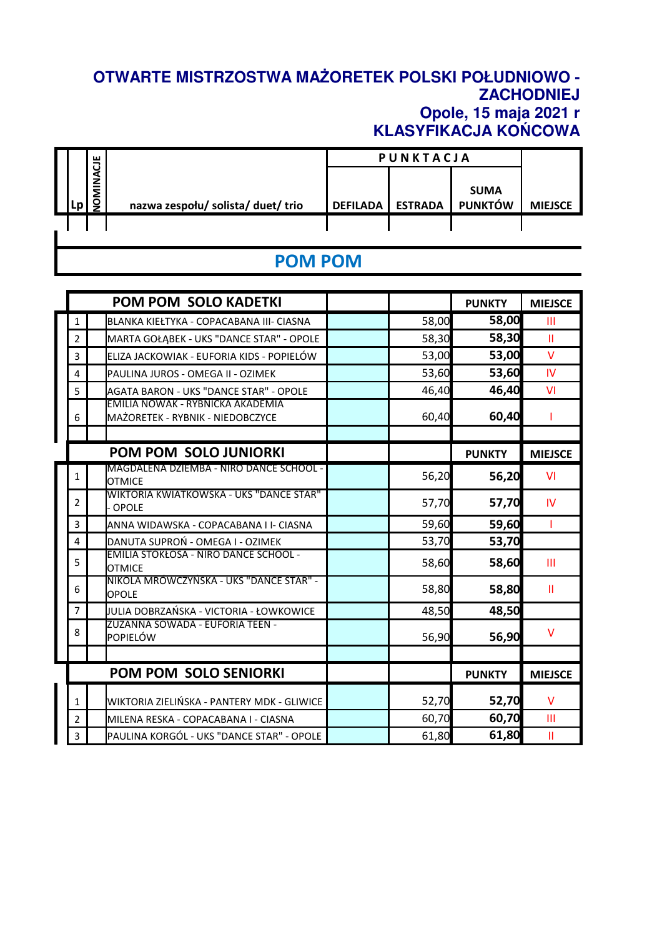## **OTWARTE MISTRZOSTWA MAŻORETEK POLSKI POŁUDNIOWO - ZACHODNIEJ Opole, 15 maja 2021 r KLASYFIKACJA KOŃCOWA**

|  | ш<br>ਹੁ     |                                    | PUNKTACJA       |                |                               |                |
|--|-------------|------------------------------------|-----------------|----------------|-------------------------------|----------------|
|  | ≨<br>Σ<br>g | nazwa zespołu/ solista/ duet/ trio | <b>DEFILADA</b> | <b>ESTRADA</b> | <b>SUMA</b><br><b>PUNKTÓW</b> | <b>MIEJSCE</b> |
|  |             |                                    |                 |                |                               |                |

## **POM POM**

|                       |                | <b>POM POM SOLO KADETKI</b>                                          |       | <b>PUNKTY</b> | <b>MIEJSCE</b> |
|-----------------------|----------------|----------------------------------------------------------------------|-------|---------------|----------------|
|                       | 1              | BLANKA KIEŁTYKA - COPACABANA III- CIASNA                             | 58,00 | 58,00         | $\mathbf{III}$ |
|                       | 2              | MARTA GOŁĄBEK - UKS "DANCE STAR" - OPOLE                             | 58,30 | 58,30         | $\mathbf{I}$   |
|                       | 3              | ELIZA JACKOWIAK - EUFORIA KIDS - POPIELÓW                            | 53,00 | 53,00         | $\vee$         |
|                       | 4              | PAULINA JUROS - OMEGA II - OZIMEK                                    | 53,60 | 53,60         | IV             |
|                       | 5              | <b>AGATA BARON - UKS "DANCE STAR" - OPOLE</b>                        | 46,40 | 46,40         | VI             |
|                       | 6              | EMILIA NOWAK - RYBNICKA AKADEMIA<br>MAŻORETEK - RYBNIK - NIEDOBCZYCE | 60,40 | 60,40         |                |
|                       |                | <b>POM POM SOLO JUNIORKI</b>                                         |       | <b>PUNKTY</b> | <b>MIEJSCE</b> |
|                       | $\mathbf{1}$   | MAGDALENA DZIEMBA - NIRO DANCE SCHOOL -<br><b>OTMICE</b>             | 56,20 | 56,20         | VI             |
|                       | $\overline{2}$ | WIKTORIA KWIATKOWSKA - UKS "DANCE STAR"<br><b>OPOLE</b>              | 57,70 | 57,70         | <b>IV</b>      |
|                       | 3              | ANNA WIDAWSKA - COPACABANA I I- CIASNA                               | 59,60 | 59,60         | т              |
|                       | 4              | DANUTA SUPROŃ - OMEGA I - OZIMEK                                     | 53,70 | 53,70         |                |
|                       | 5              | EMILIA STOKŁOSA - NIRO DANCE SCHOOL -<br><b>OTMICE</b>               | 58,60 | 58,60         | Ш              |
|                       | 6              | NIKOLA MRÓWCZYŃSKA - UKS "DANCE STAR" -<br><b>OPOLE</b>              | 58,80 | 58,80         | Ш              |
|                       | $\overline{7}$ | JULIA DOBRZAŃSKA - VICTORIA - ŁOWKOWICE                              | 48,50 | 48,50         |                |
|                       | 8              | ZUZANNA SOWADA - EUFORIA TEEN -<br>POPIELÓW                          | 56,90 | 56,90         | $\vee$         |
|                       |                |                                                                      |       |               |                |
| POM POM SOLO SENIORKI |                |                                                                      |       | <b>PUNKTY</b> | <b>MIEJSCE</b> |
|                       | $\mathbf{1}$   | WIKTORIA ZIELIŃSKA - PANTERY MDK - GLIWICE                           | 52,70 | 52,70         | V              |
|                       | 2              | MILENA RESKA - COPACABANA I - CIASNA                                 | 60,70 | 60,70         | III            |
|                       | 3              | PAULINA KORGÓL - UKS "DANCE STAR" - OPOLE                            | 61,80 | 61,80         | $\mathbf{I}$   |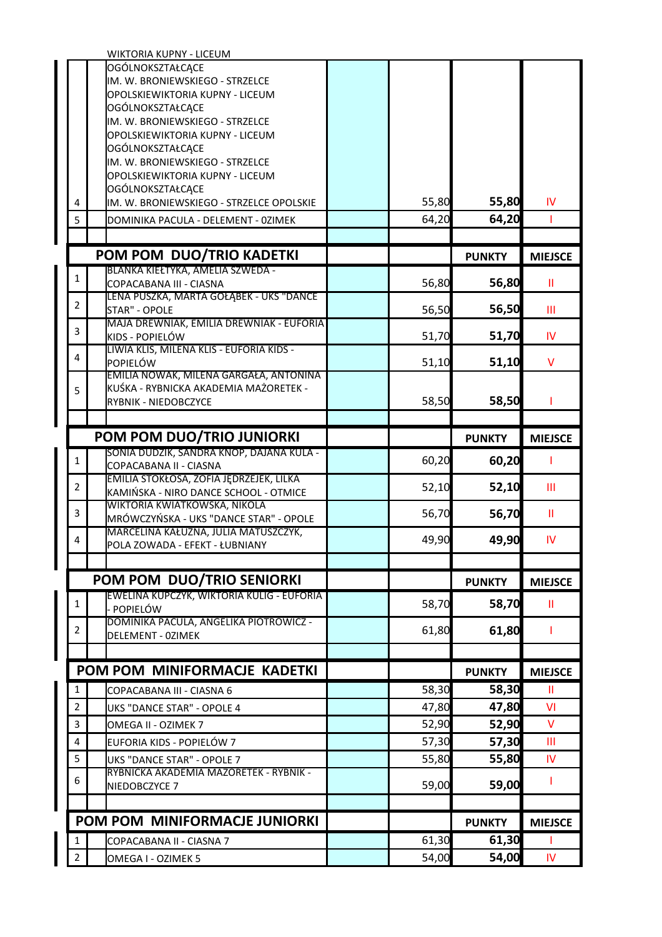|                                | WIKTORIA KUPNY - LICEUM                                                         |                |                |                |
|--------------------------------|---------------------------------------------------------------------------------|----------------|----------------|----------------|
|                                | OGÓLNOKSZTAŁCĄCE                                                                |                |                |                |
|                                | IM. W. BRONIEWSKIEGO - STRZELCE                                                 |                |                |                |
|                                | OPOLSKIEWIKTORIA KUPNY - LICEUM                                                 |                |                |                |
|                                | OGÓLNOKSZTAŁCĄCE<br>IM. W. BRONIEWSKIEGO - STRZELCE                             |                |                |                |
|                                | OPOLSKIEWIKTORIA KUPNY - LICEUM                                                 |                |                |                |
|                                | OGÓLNOKSZTAŁCĄCE                                                                |                |                |                |
|                                | IM. W. BRONIEWSKIEGO - STRZELCE                                                 |                |                |                |
|                                | OPOLSKIEWIKTORIA KUPNY - LICEUM                                                 |                |                |                |
|                                | OGÓLNOKSZTAŁCĄCE                                                                |                |                |                |
| 4                              | IM. W. BRONIEWSKIEGO - STRZELCE OPOLSKIE                                        | 55,80          | 55,80          | IV             |
| 5                              | DOMINIKA PACULA - DELEMENT - 0ZIMEK                                             | 64,20          | 64,20          | Т              |
|                                |                                                                                 |                |                |                |
|                                | POM POM DUO/TRIO KADETKI                                                        |                | <b>PUNKTY</b>  | <b>MIEJSCE</b> |
| $\mathbf{1}$                   | BLANKA KIEŁTYKA, AMELIA SZWEDA -                                                |                |                |                |
|                                | COPACABANA III - CIASNA                                                         | 56,80          | 56,80          | Ш              |
| $\overline{2}$                 | LENA PUSZKA, MARTA GOŁĄBEK - UKS "DANCE<br><b>STAR" - OPOLE</b>                 | 56,50          | 56,50          | Ш              |
|                                | MAJA DREWNIAK, EMILIA DREWNIAK - EUFORIA                                        |                |                |                |
| 3                              | KIDS - POPIELÓW                                                                 | 51,70          | 51,70          | IV             |
| 4                              | LIWIA KLIŚ, MILENA KLIŚ - EUFORIA KIDS -                                        |                |                |                |
|                                | POPIELÓW                                                                        | 51,10          | 51,10          | V              |
|                                | EMILIA NOWAK, MILENA GARGAŁA, ANTONINA<br>KUŚKA - RYBNICKA AKADEMIA MAŻORETEK - |                |                |                |
| 5                              | RYBNIK - NIEDOBCZYCE                                                            | 58,50          | 58,50          |                |
|                                |                                                                                 |                |                |                |
|                                | POM POM DUO/TRIO JUNIORKI                                                       |                | <b>PUNKTY</b>  | <b>MIEJSCE</b> |
|                                | SONIA DUDZIK, SANDRA KNOP, DAJANA KULA -                                        |                |                |                |
|                                |                                                                                 |                |                |                |
| $\mathbf{1}$                   | COPACABANA II - CIASNA                                                          | 60,20          | 60,20          |                |
|                                | EMILIA STOKŁOSA, ZOFIA JĘDRZEJEK, LILKA                                         |                |                |                |
| $\overline{2}$                 | KAMIŃSKA - NIRO DANCE SCHOOL - OTMICE                                           | 52,10          | 52,10          | Ш              |
| 3                              | WIKTORIA KWIATKOWSKA, NIKOLA                                                    |                |                | Ш              |
|                                | MRÓWCZYŃSKA - UKS "DANCE STAR" - OPOLE                                          | 56,70          | 56,70          |                |
| 4                              | MARCELINA KAŁUŻNA, JULIA MATUSZCZYK,<br>POLA ZOWADA - EFEKT - ŁUBNIANY          | 49,90          | 49,90          | IV             |
|                                |                                                                                 |                |                |                |
|                                |                                                                                 |                | <b>PUNKTY</b>  |                |
|                                | POM POM DUO/TRIO SENIORKI<br>EWELINA KUPCZYK, WIKTORIA KULIG - EUFORIA          |                |                | <b>MIEJSCE</b> |
| 1                              | POPIELÓW                                                                        | 58,70          | 58,70          | Ш              |
| $\overline{2}$                 | DOMINIKA PACULA, ANGELIKA PIOTROWICZ -                                          | 61,80          |                | т              |
|                                | <b>DELEMENT - OZIMEK</b>                                                        |                | 61,80          |                |
|                                |                                                                                 |                |                |                |
|                                | POM POM MINIFORMACJE KADETKI                                                    |                | <b>PUNKTY</b>  | <b>MIEJSCE</b> |
| $\mathbf{1}$                   | COPACABANA III - CIASNA 6                                                       | 58,30          | 58,30          | Ш              |
| $\overline{2}$                 | <b>UKS "DANCE STAR" - OPOLE 4</b>                                               | 47,80          | 47,80          | VI             |
| 3                              | OMEGA II - OZIMEK 7                                                             | 52,90          | 52,90          | V              |
| $\overline{4}$                 | EUFORIA KIDS - POPIELÓW 7                                                       | 57,30          | 57,30          | Ш              |
| 5                              | UKS "DANCE STAR" - OPOLE 7                                                      | 55,80          | 55,80          | IV             |
| 6                              | RYBNICKA AKADEMIA MAŻORETEK - RYBNIK -                                          |                |                | ı              |
|                                | NIEDOBCZYCE 7                                                                   | 59,00          | 59,00          |                |
|                                |                                                                                 |                |                |                |
|                                | POM POM MINIFORMACJE JUNIORKI                                                   |                | <b>PUNKTY</b>  | <b>MIEJSCE</b> |
| $\mathbf{1}$<br>$\overline{2}$ | COPACABANA II - CIASNA 7                                                        | 61,30<br>54,00 | 61,30<br>54,00 | IV.            |